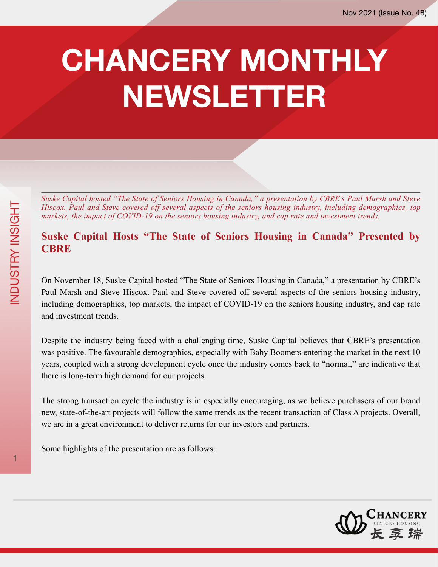## **CHANCERY MONTHLY NEWSLETTER**

*Suske Capital hosted "The State of Seniors Housing in Canada," a presentation by CBRE's Paul Marsh and Steve Hiscox. Paul and Steve covered off several aspects of the seniors housing industry, including demographics, top markets, the impact of COVID-19 on the seniors housing industry, and cap rate and investment trends.*

## **Suske Capital Hosts "The State of Seniors Housing in Canada" Presented by CBRE**

On November 18, Suske Capital hosted "The State of Seniors Housing in Canada," a presentation by CBRE's Paul Marsh and Steve Hiscox. Paul and Steve covered off several aspects of the seniors housing industry, including demographics, top markets, the impact of COVID-19 on the seniors housing industry, and cap rate and investment trends.

Despite the industry being faced with a challenging time, Suske Capital believes that CBRE's presentation was positive. The favourable demographics, especially with Baby Boomers entering the market in the next 10 years, coupled with a strong development cycle once the industry comes back to "normal," are indicative that there is long-term high demand for our projects.

The strong transaction cycle the industry is in especially encouraging, as we believe purchasers of our brand new, state-of-the-art projects will follow the same trends as the recent transaction of Class A projects. Overall, we are in a great environment to deliver returns for our investors and partners.

Some highlights of the presentation are as follows:

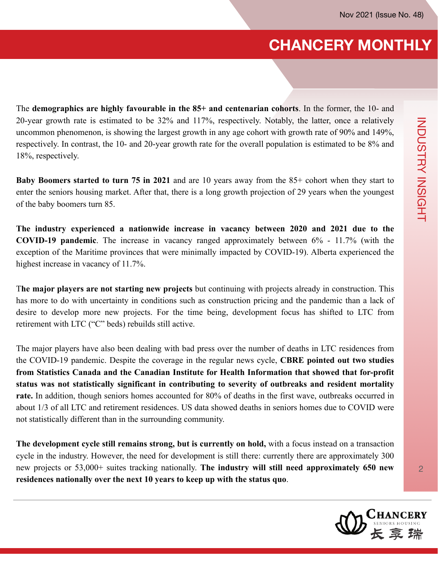## **CHANCERY MONTHLY**

The **demographics are highly favourable in the 85+ and centenarian cohorts**. In the former, the 10- and 20-year growth rate is estimated to be 32% and 117%, respectively. Notably, the latter, once a relatively uncommon phenomenon, is showing the largest growth in any age cohort with growth rate of 90% and 149%, respectively. In contrast, the 10- and 20-year growth rate for the overall population is estimated to be 8% and 18%, respectively.

**Baby Boomers started to turn 75 in 2021** and are 10 years away from the 85+ cohort when they start to enter the seniors housing market. After that, there is a long growth projection of 29 years when the youngest of the baby boomers turn 85.

**The industry experienced a nationwide increase in vacancy between 2020 and 2021 due to the COVID-19 pandemic**. The increase in vacancy ranged approximately between 6% - 11.7% (with the exception of the Maritime provinces that were minimally impacted by COVID-19). Alberta experienced the highest increase in vacancy of 11.7%.

T**he major players are not starting new projects** but continuing with projects already in construction. This has more to do with uncertainty in conditions such as construction pricing and the pandemic than a lack of desire to develop more new projects. For the time being, development focus has shifted to LTC from retirement with LTC ("C" beds) rebuilds still active.

The major players have also been dealing with bad press over the number of deaths in LTC residences from the COVID-19 pandemic. Despite the coverage in the regular news cycle, **CBRE pointed out two studies from Statistics Canada and the Canadian Institute for Health Information that showed that for-profit status was not statistically significant in contributing to severity of outbreaks and resident mortality rate.** In addition, though seniors homes accounted for 80% of deaths in the first wave, outbreaks occurred in about 1/3 of all LTC and retirement residences. US data showed deaths in seniors homes due to COVID were not statistically different than in the surrounding community.

**The development cycle still remains strong, but is currently on hold,** with a focus instead on a transaction cycle in the industry. However, the need for development is still there: currently there are approximately 300 new projects or 53,000+ suites tracking nationally. **The industry will still need approximately 650 new residences nationally over the next 10 years to keep up with the status quo**.